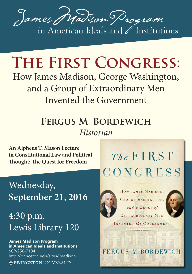

## **The First Congress:**

How James Madison, George Washington, and a Group of Extraordinary Men Invented the Government

## **Fergus M. Bordewich** *Historian*

**An Alpheus T. Mason Lecture in Constitutional Law and Political Thought: The Quest for Freedom**

Wednesday, **September 21, 2016**

## 4:30 p.m. Lewis Library 120

**James Madison Program in American Ideals and Institutions** 609-258-7104 http://princeton.edu/sites/jmadison **OPRINCETON UNIVERSITY** 

## The FIRST CONGRESS



HOW JAMES MADISON, GEORGE WASHINGTON, and a GROUP of EXTRAORDINARY MEN

INVENTED the GOVERNMENT

FERGUS M. BORDEWICH